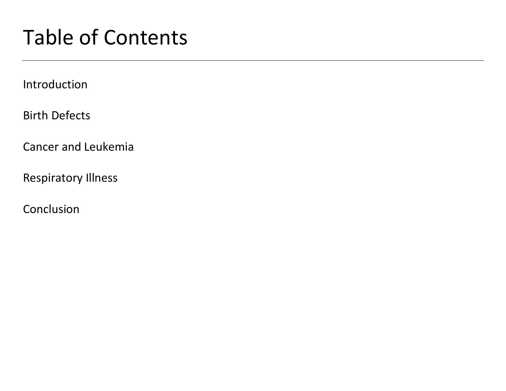# Table of Contents

Introduction

Birth Defects

Cancer and Leukemia

Respiratory Illness

Conclusion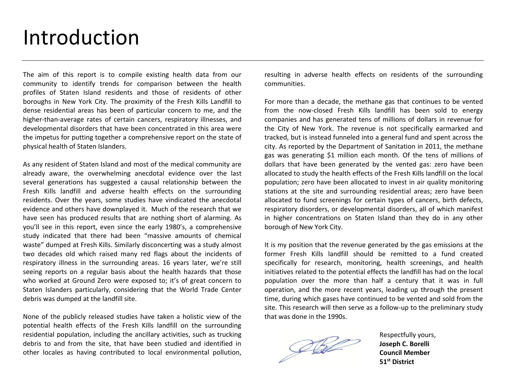### Introduction

The aim of this report is to compile existing health data from our community to identify trends for comparison between the health profiles of Staten Island residents and those of residents of other boroughs in New York City. The proximity of the Fresh Kills Landfill to dense residential areas has been of particular concern to me, and the higher-than-average rates of certain cancers, respiratory illnesses, and developmental disorders that have been concentrated in this area were the impetus for putting together a comprehensive report on the state of physical health of Staten Islanders.

As any resident of Staten Island and most of the medical community are already aware, the overwhelming anecdotal evidence over the last several generations has suggested a causal relationship between the Fresh Kills landfill and adverse health effects on the surrounding residents. Over the years, some studies have vindicated the anecdotal evidence and others have downplayed it. Much of the research that we have seen has produced results that are nothing short of alarming. As you'll see in this report, even since the early 1980's, a comprehensive study indicated that there had been "massive amounts of chemical waste" dumped at Fresh Kills. Similarly disconcerting was a study almost two decades old which raised many red flags about the incidents of respiratory illness in the surrounding areas. 16 years later, we're still seeing reports on a regular basis about the health hazards that those who worked at Ground Zero were exposed to; it's of great concern to Staten Islanders particularly, considering that the World Trade Center debris was dumped at the landfill site.

None of the publicly released studies have taken a holistic view of the potential health effects of the Fresh Kills landfill on the surrounding residential population, including the ancillary activities, such as trucking debris to and from the site, that have been studied and identified in other locales as having contributed to local environmental pollution, resulting in adverse health effects on residents of the surrounding communities.

For more than a decade, the methane gas that continues to be vented from the now-closed Fresh Kills landfill has been sold to energy companies and has generated tens of millions of dollars in revenue for the City of New York. The revenue is not specifically earmarked and tracked, but is instead funneled into a general fund and spent across the city. As reported by the Department of Sanitation in 2011, the methane gas was generating \$1 million each month. Of the tens of millions of dollars that have been generated by the vented gas: zero have been allocated to study the health effects of the Fresh Kills landfill on the local population; zero have been allocated to invest in air quality monitoring stations at the site and surrounding residential areas; zero have been allocated to fund screenings for certain types of cancers, birth defects, respiratory disorders, or developmental disorders, all of which manifest in higher concentrations on Staten Island than they do in any other borough of New York City.

It is my position that the revenue generated by the gas emissions at the former Fresh Kills landfill should be remitted to a fund created specifically for research, monitoring, health screenings, and health initiatives related to the potential effects the landfill has had on the local population over the more than half a century that it was in full operation, and the more recent years, leading up through the present time, during which gases have continued to be vented and sold from the site. This research will then serve as a follow-up to the preliminary study that was done in the 1990s.

Defe

Respectfully yours, **Joseph C. Borelli Council Member 51st District**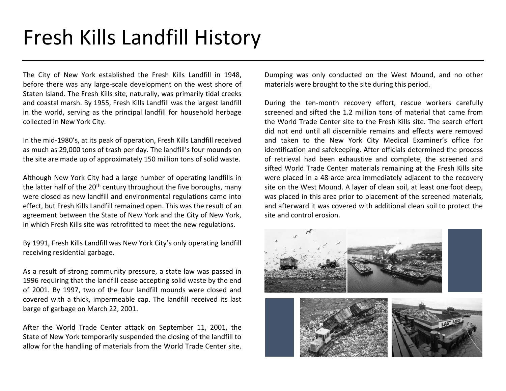# Fresh Kills Landfill History

The City of New York established the Fresh Kills Landfill in 1948, before there was any large-scale development on the west shore of Staten Island. The Fresh Kills site, naturally, was primarily tidal creeks and coastal marsh. By 1955, Fresh Kills Landfill was the largest landfill in the world, serving as the principal landfill for household herbage collected in New York City.

In the mid-1980's, at its peak of operation, Fresh Kills Landfill received as much as 29,000 tons of trash per day. The landfill's four mounds on the site are made up of approximately 150 million tons of solid waste.

Although New York City had a large number of operating landfills in the latter half of the  $20<sup>th</sup>$  century throughout the five boroughs, many were closed as new landfill and environmental regulations came into effect, but Fresh Kills Landfill remained open. This was the result of an agreement between the State of New York and the City of New York, in which Fresh Kills site was retrofitted to meet the new regulations.

By 1991, Fresh Kills Landfill was New York City's only operating landfill receiving residential garbage.

As a result of strong community pressure, a state law was passed in 1996 requiring that the landfill cease accepting solid waste by the end of 2001. By 1997, two of the four landfill mounds were closed and covered with a thick, impermeable cap. The landfill received its last barge of garbage on March 22, 2001.

After the World Trade Center attack on September 11, 2001, the State of New York temporarily suspended the closing of the landfill to allow for the handling of materials from the World Trade Center site.

Dumping was only conducted on the West Mound, and no other materials were brought to the site during this period.

During the ten-month recovery effort, rescue workers carefully screened and sifted the 1.2 million tons of material that came from the World Trade Center site to the Fresh Kills site. The search effort did not end until all discernible remains and effects were removed and taken to the New York City Medical Examiner's office for identification and safekeeping. After officials determined the process of retrieval had been exhaustive and complete, the screened and sifted World Trade Center materials remaining at the Fresh Kills site were placed in a 48-arce area immediately adjacent to the recovery site on the West Mound. A layer of clean soil, at least one foot deep, was placed in this area prior to placement of the screened materials, and afterward it was covered with additional clean soil to protect the site and control erosion.

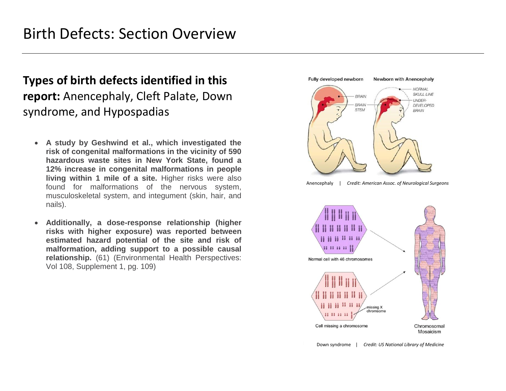### **Types of birth defects identified in this report:** Anencephaly, Cleft Palate, Down syndrome, and Hypospadias

- **A study by Geshwind et al., which investigated the risk of congenital malformations in the vicinity of 590 hazardous waste sites in New York State, found a 12% increase in congenital malformations in people living within 1 mile of a site.** Higher risks were also found for malformations of the nervous system, musculoskeletal system, and integument (skin, hair, and nails).
- **Additionally, a dose-response relationship (higher risks with higher exposure) was reported between estimated hazard potential of the site and risk of malformation, adding support to a possible causal relationship.** (61) (Environmental Health Perspectives: Vol 108, Supplement 1, pg. 109)





Down syndrome | *Credit: US National Library of Medicine*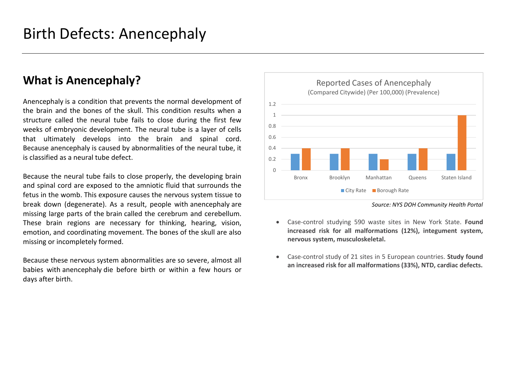#### **What is Anencephaly?**

Anencephaly is a condition that prevents the normal development of the brain and the bones of the skull. This condition results when a structure called the neural tube fails to close during the first few weeks of embryonic development. The neural tube is a layer of cells that ultimately develops into the brain and spinal cord. Because anencephaly is caused by abnormalities of the neural tube, it is classified as a neural tube defect.

Because the neural tube fails to close properly, the developing brain and spinal cord are exposed to the amniotic fluid that surrounds the fetus in the womb. This exposure causes the nervous system tissue to break down (degenerate). As a result, people with anencephaly are missing large parts of the brain called the cerebrum and cerebellum. These brain regions are necessary for thinking, hearing, vision, emotion, and coordinating movement. The bones of the skull are also missing or incompletely formed.

Because these nervous system abnormalities are so severe, almost all babies with anencephaly die before birth or within a few hours or days after birth.



*Source: NYS DOH Community Health Portal*

- Case-control studying 590 waste sites in New York State. **Found increased risk for all malformations (12%), integument system, nervous system, musculoskeletal.**
- Case-control study of 21 sites in 5 European countries. **Study found an increased risk for all malformations (33%), NTD, cardiac defects.**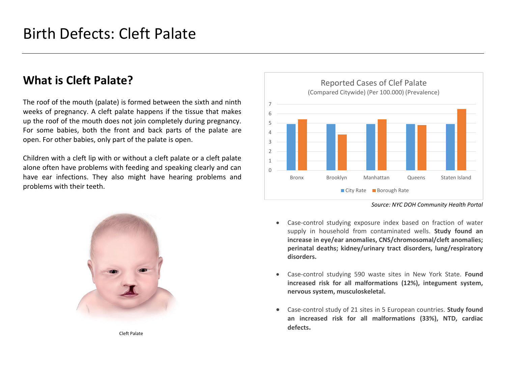#### **What is Cleft Palate?**

The roof of the mouth (palate) is formed between the sixth and ninth weeks of pregnancy. A cleft palate happens if the tissue that makes up the roof of the mouth does not join completely during pregnancy. For some babies, both the front and back parts of the palate are open. For other babies, only part of the palate is open.

Children with a cleft lip with or without a cleft palate or a cleft palate alone often have problems with feeding and speaking clearly and can have ear infections. They also might have hearing problems and problems with their teeth.



Cleft Palate



*Source: NYC DOH Community Health Portal*

- Case-control studying exposure index based on fraction of water supply in household from contaminated wells. **Study found an increase in eye/ear anomalies, CNS/chromosomal/cleft anomalies; perinatal deaths; kidney/urinary tract disorders, lung/respiratory disorders.**
- Case-control studying 590 waste sites in New York State. **Found increased risk for all malformations (12%), integument system, nervous system, musculoskeletal.**
- Case-control study of 21 sites in 5 European countries. **Study found an increased risk for all malformations (33%), NTD, cardiac defects.**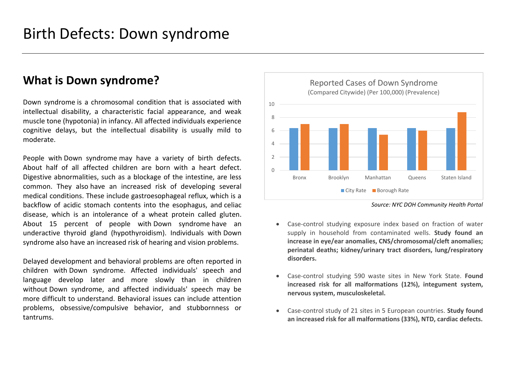#### **What is Down syndrome?**

Down syndrome is a chromosomal condition that is associated with intellectual disability, a characteristic facial appearance, and weak muscle tone (hypotonia) in infancy. All affected individuals experience cognitive delays, but the intellectual disability is usually mild to moderate.

People with Down syndrome may have a variety of birth defects. About half of all affected children are born with a heart defect. Digestive abnormalities, such as a blockage of the intestine, are less common. They also have an increased risk of developing several medical conditions. These include gastroesophageal reflux, which is a backflow of acidic stomach contents into the esophagus, and celiac disease, which is an intolerance of a wheat protein called gluten. About 15 percent of people with Down syndrome have an underactive thyroid gland (hypothyroidism). Individuals with Down syndrome also have an increased risk of hearing and vision problems.

Delayed development and behavioral problems are often reported in children with Down syndrome. Affected individuals' speech and language develop later and more slowly than in children without Down syndrome, and affected individuals' speech may be more difficult to understand. Behavioral issues can include attention problems, obsessive/compulsive behavior, and stubbornness or tantrums.



*Source: NYC DOH Community Health Portal*

- Case-control studying exposure index based on fraction of water supply in household from contaminated wells. **Study found an increase in eye/ear anomalies, CNS/chromosomal/cleft anomalies; perinatal deaths; kidney/urinary tract disorders, lung/respiratory disorders.**
- Case-control studying 590 waste sites in New York State. **Found increased risk for all malformations (12%), integument system, nervous system, musculoskeletal.**
- Case-control study of 21 sites in 5 European countries. **Study found an increased risk for all malformations (33%), NTD, cardiac defects.**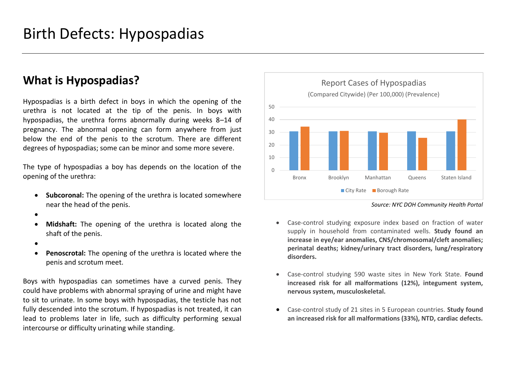#### **What is Hypospadias?**

Hypospadias is a birth defect in boys in which the opening of the urethra is not located at the tip of the penis. In boys with hypospadias, the urethra forms abnormally during weeks 8–14 of pregnancy. The abnormal opening can form anywhere from just below the end of the penis to the scrotum. There are different degrees of hypospadias; some can be minor and some more severe.

The type of hypospadias a boy has depends on the location of the opening of the urethra:

- **Subcoronal:** The opening of the urethra is located somewhere near the head of the penis.
- •
- **Midshaft:** The opening of the urethra is located along the shaft of the penis.
- •
- **Penoscrotal:** The opening of the urethra is located where the penis and scrotum meet.

Boys with hypospadias can sometimes have a curved penis. They could have problems with abnormal spraying of urine and might have to sit to urinate. In some boys with hypospadias, the testicle has not fully descended into the scrotum. If hypospadias is not treated, it can lead to problems later in life, such as difficulty performing sexual intercourse or difficulty urinating while standing.



*Source: NYC DOH Community Health Portal*

- Case-control studying exposure index based on fraction of water supply in household from contaminated wells. **Study found an increase in eye/ear anomalies, CNS/chromosomal/cleft anomalies; perinatal deaths; kidney/urinary tract disorders, lung/respiratory disorders.**
- Case-control studying 590 waste sites in New York State. **Found increased risk for all malformations (12%), integument system, nervous system, musculoskeletal.**
- Case-control study of 21 sites in 5 European countries. **Study found an increased risk for all malformations (33%), NTD, cardiac defects.**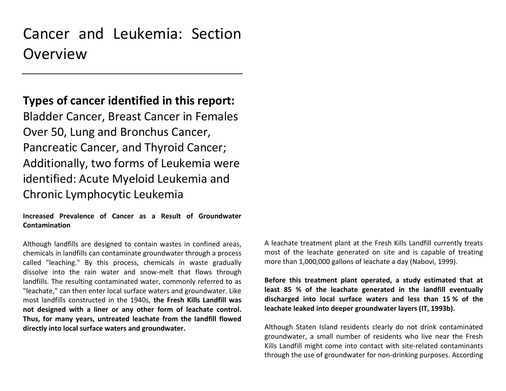### Cancer and Leukemia: Section Overview

#### **Types of cancer identified in this report:**

Bladder Cancer, Breast Cancer in Females Over 50, Lung and Bronchus Cancer, Pancreatic Cancer, and Thyroid Cancer; Additionally, two forms of Leukemia were identified: Acute Myeloid Leukemia and Chronic Lymphocytic Leukemia

**Increased Prevalence of Cancer as a Result of Groundwater Contamination**

Although landfills are designed to contain wastes in confined areas, chemicals in landfills can contaminate groundwater through a process called "leaching." By this process, chemicals in waste gradually dissolve into the rain water and snow-melt that flows through landfills. The resulting contaminated water, commonly referred to as "leachate," can then enter local surface waters and groundwater. Like most landfills constructed in the 1940s, **the Fresh Kills Landfill was not designed with a liner or any other form of leachate control. Thus, for many years, untreated leachate from the landfill flowed directly into local surface waters and groundwater.**

A leachate treatment plant at the Fresh Kills Landfill currently treats most of the leachate generated on site and is capable of treating more than 1,000,000 gallons of leachate a day (Nabovi, 1999).

**Before this treatment plant operated, a study estimated that at least 85 % of the leachate generated in the landfill eventually discharged into local surface waters and less than 15 % of the leachate leaked into deeper groundwater layers (IT, 1993b).**

Although Staten Island residents clearly do not drink contaminated groundwater, a small number of residents who live near the Fresh Kills Landfill might come into contact with site-related contaminants through the use of groundwater for non-drinking purposes. According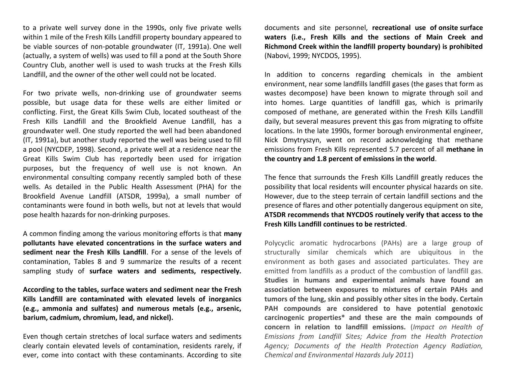to a private well survey done in the 1990s, only five private wells within 1 mile of the Fresh Kills Landfill property boundary appeared to be viable sources of non-potable groundwater (IT, 1991a). One well (actually, a system of wells) was used to fill a pond at the South Shore Country Club, another well is used to wash trucks at the Fresh Kills Landfill, and the owner of the other well could not be located.

For two private wells, non-drinking use of groundwater seems possible, but usage data for these wells are either limited or conflicting. First, the Great Kills Swim Club, located southeast of the Fresh Kills Landfill and the Brookfield Avenue Landfill, has a groundwater well. One study reported the well had been abandoned (IT, 1991a), but another study reported the well was being used to fill a pool (NYCDEP, 1998). Second, a private well at a residence near the Great Kills Swim Club has reportedly been used for irrigation purposes, but the frequency of well use is not known. An environmental consulting company recently sampled both of these wells. As detailed in the Public Health Assessment (PHA) for the Brookfield Avenue Landfill (ATSDR, 1999a), a small number of contaminants were found in both wells, but not at levels that would pose health hazards for non-drinking purposes.

A common finding among the various monitoring efforts is that **many pollutants have elevated concentrations in the surface waters and sediment near the Fresh Kills Landfill**. For a sense of the levels of contamination, Tables 8 and 9 summarize the results of a recent sampling study of **surface waters and sediments, respectively.** 

**According to the tables, surface waters and sediment near the Fresh Kills Landfill are contaminated with elevated levels of inorganics (e.g., ammonia and sulfates) and numerous metals (e.g., arsenic, barium, cadmium, chromium, lead, and nickel).**

Even though certain stretches of local surface waters and sediments clearly contain elevated levels of contamination, residents rarely, if ever, come into contact with these contaminants. According to site documents and site personnel, **recreational use of onsite surface waters (i.e., Fresh Kills and the sections of Main Creek and Richmond Creek within the landfill property boundary) is prohibited** (Nabovi, 1999; NYCDOS, 1995).

In addition to concerns regarding chemicals in the ambient environment, near some landfills landfill gases (the gases that form as wastes decompose) have been known to migrate through soil and into homes. Large quantities of landfill gas, which is primarily composed of methane, are generated within the Fresh Kills Landfill daily, but several measures prevent this gas from migrating to offsite locations. In the late 1990s, former borough environmental engineer, Nick Dmytryszyn, went on record acknowledging that methane emissions from Fresh Kills represented 5.7 percent of all **methane in the country and 1.8 percent of emissions in the world**.

The fence that surrounds the Fresh Kills Landfill greatly reduces the possibility that local residents will encounter physical hazards on site. However, due to the steep terrain of certain landfill sections and the presence of flares and other potentially dangerous equipment on site, **ATSDR recommends that NYCDOS routinely verify that access to the Fresh Kills Landfill continues to be restricted**.

Polycyclic aromatic hydrocarbons (PAHs) are a large group of structurally similar chemicals which are ubiquitous in the environment as both gases and associated particulates. They are emitted from landfills as a product of the combustion of landfill gas. **Studies in humans and experimental animals have found an association between exposures to mixtures of certain PAHs and tumors of the lung, skin and possibly other sites in the body. Certain PAH compounds are considered to have potential genotoxic carcinogenic properties\* and these are the main compounds of concern in relation to landfill emissions.** (*Impact on Health of Emissions from Landfill Sites; Advice from the Health Protection Agency; Documents of the Health Protection Agency Radiation, Chemical and Environmental Hazards July 2011*)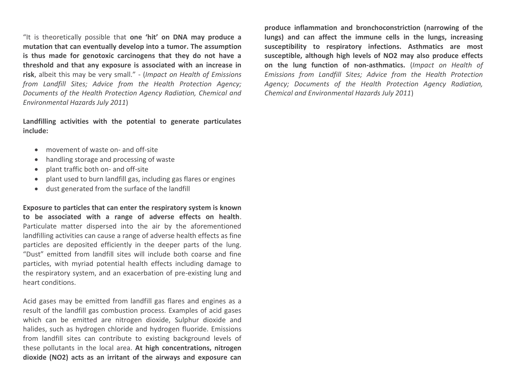"It is theoretically possible that **one 'hit' on DNA may produce a mutation that can eventually develop into a tumor. The assumption is thus made for genotoxic carcinogens that they do not have a threshold and that any exposure is associated with an increase in risk**, albeit this may be very small." - (*Impact on Health of Emissions from Landfill Sites; Advice from the Health Protection Agency; Documents of the Health Protection Agency Radiation, Chemical and Environmental Hazards July 2011*)

**Landfilling activities with the potential to generate particulates include:** 

- movement of waste on- and off-site
- handling storage and processing of waste
- plant traffic both on- and off-site
- plant used to burn landfill gas, including gas flares or engines
- dust generated from the surface of the landfill

**Exposure to particles that can enter the respiratory system is known to be associated with a range of adverse effects on health**. Particulate matter dispersed into the air by the aforementioned landfilling activities can cause a range of adverse health effects as fine particles are deposited efficiently in the deeper parts of the lung. "Dust" emitted from landfill sites will include both coarse and fine particles, with myriad potential health effects including damage to the respiratory system, and an exacerbation of pre-existing lung and heart conditions.

Acid gases may be emitted from landfill gas flares and engines as a result of the landfill gas combustion process. Examples of acid gases which can be emitted are nitrogen dioxide, Sulphur dioxide and halides, such as hydrogen chloride and hydrogen fluoride. Emissions from landfill sites can contribute to existing background levels of these pollutants in the local area. **At high concentrations, nitrogen dioxide (NO2) acts as an irritant of the airways and exposure can** 

**produce inflammation and bronchoconstriction (narrowing of the lungs) and can affect the immune cells in the lungs, increasing susceptibility to respiratory infections. Asthmatics are most susceptible, although high levels of NO2 may also produce effects on the lung function of non-asthmatics.** (*Impact on Health of Emissions from Landfill Sites; Advice from the Health Protection Agency; Documents of the Health Protection Agency Radiation, Chemical and Environmental Hazards July 2011*)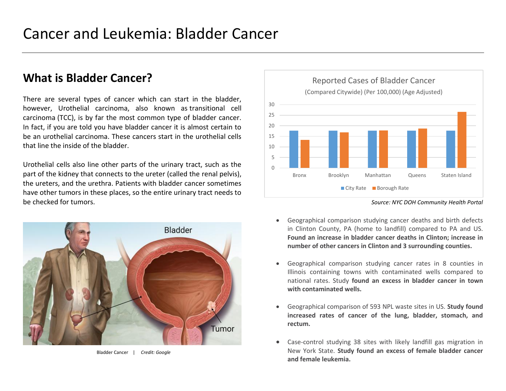#### **What is Bladder Cancer?**

There are several types of cancer which can start in the bladder, however, Urothelial carcinoma, also known as transitional cell carcinoma (TCC), is by far the most common type of bladder cancer. In fact, if you are told you have bladder cancer it is almost certain to be an urothelial carcinoma. These cancers start in the urothelial cells that line the inside of the bladder.

Urothelial cells also line other parts of the urinary tract, such as the part of the kidney that connects to the ureter (called the renal pelvis), the ureters, and the urethra. Patients with bladder cancer sometimes have other tumors in these places, so the entire urinary tract needs to be checked for tumors. *Source: NYC DOH Community Health Portal*



Bladder Cancer | *Credit: Google*



- Geographical comparison studying cancer deaths and birth defects in Clinton County, PA (home to landfill) compared to PA and US. **Found an increase in bladder cancer deaths in Clinton; increase in number of other cancers in Clinton and 3 surrounding counties.**
- Geographical comparison studying cancer rates in 8 counties in Illinois containing towns with contaminated wells compared to national rates. Study **found an excess in bladder cancer in town with contaminated wells.**
- Geographical comparison of 593 NPL waste sites in US. **Study found increased rates of cancer of the lung, bladder, stomach, and rectum.**
- Case-control studying 38 sites with likely landfill gas migration in New York State. **Study found an excess of female bladder cancer and female leukemia.**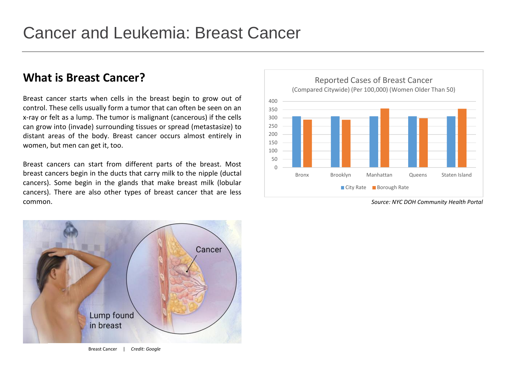#### **What is Breast Cancer?**

Breast cancer starts when cells in the breast begin to grow out of control. These cells usually form a tumor that can often be seen on an x-ray or felt as a lump. The tumor is malignant (cancerous) if the cells can grow into (invade) surrounding tissues or spread (metastasize) to distant areas of the body. Breast cancer occurs almost entirely in women, but men can get it, too.

Breast cancers can start from different parts of the breast. Most breast cancers begin in the ducts that carry milk to the nipple (ductal cancers). Some begin in the glands that make breast milk (lobular cancers). There are also other types of breast cancer that are less common. *Source: NYC DOH Community Health Portal*



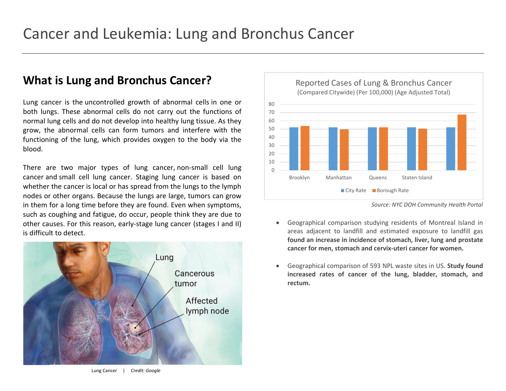#### **What is Lung and Bronchus Cancer?**

Lung cancer is the uncontrolled growth of abnormal cells in one or both lungs. These abnormal cells do not carry out the functions of normal lung cells and do not develop into healthy lung tissue. As they grow, the abnormal cells can form tumors and interfere with the functioning of the lung, which provides oxygen to the body via the blood.

There are two major types of lung cancer, non-small cell lung cancer and small cell lung cancer. Staging lung cancer is based on whether the cancer is local or has spread from the lungs to the lymph nodes or other organs. Because the lungs are large, tumors can grow in them for a long time before they are found. Even when symptoms, such as coughing and fatigue, do occur, people think they are due to other causes. For this reason, early-stage lung cancer (stages I and II) is difficult to detect.





*Source: NYC DOH Community Health Portal*

- Geographical comparison studying residents of Montreal Island in areas adjacent to landfill and estimated exposure to landfill gas **found an increase in incidence of stomach, liver, lung and prostate cancer for men, stomach and cervix-uteri cancer for women.**
- Geographical comparison of 593 NPL waste sites in US. **Study found increased rates of cancer of the lung, bladder, stomach, and rectum.**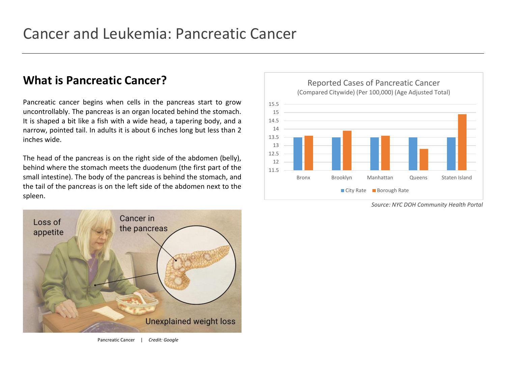#### **What is Pancreatic Cancer?**

Pancreatic cancer begins when cells in the pancreas start to grow uncontrollably. The pancreas is an organ located behind the stomach. It is shaped a bit like a fish with a wide head, a tapering body, and a narrow, pointed tail. In adults it is about 6 inches long but less than 2 inches wide.

The head of the pancreas is on the right side of the abdomen (belly), behind where the stomach meets the duodenum (the first part of the small intestine). The body of the pancreas is behind the stomach, and the tail of the pancreas is on the left side of the abdomen next to the spleen.





*Source: NYC DOH Community Health Portal*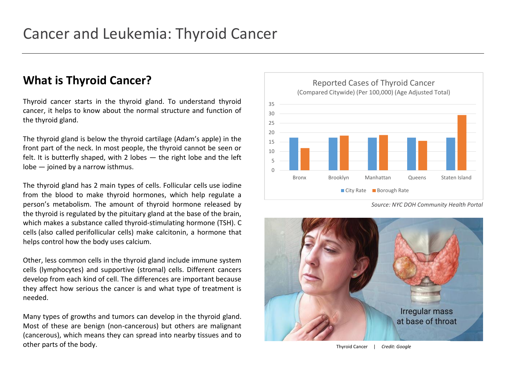#### **What is Thyroid Cancer?**

Thyroid cancer starts in the thyroid gland. To understand thyroid cancer, it helps to know about the normal structure and function of the thyroid gland.

The thyroid gland is below the thyroid cartilage (Adam's apple) in the front part of the neck. In most people, the thyroid cannot be seen or felt. It is butterfly shaped, with 2 lobes  $-$  the right lobe and the left lobe — joined by a narrow isthmus.

The thyroid gland has 2 main types of cells. Follicular cells use iodine from the blood to make thyroid hormones, which help regulate a person's metabolism. The amount of thyroid hormone released by the thyroid is regulated by the pituitary gland at the base of the brain, which makes a substance called thyroid-stimulating hormone (TSH). C cells (also called perifollicular cells) make calcitonin, a hormone that helps control how the body uses calcium.

Other, less common cells in the thyroid gland include immune system cells (lymphocytes) and supportive (stromal) cells. Different cancers develop from each kind of cell. The differences are important because they affect how serious the cancer is and what type of treatment is needed.

Many types of growths and tumors can develop in the thyroid gland. Most of these are benign (non-cancerous) but others are malignant (cancerous), which means they can spread into nearby tissues and to other parts of the body.



*Source: NYC DOH Community Health Portal*



Thyroid Cancer | *Credit: Google*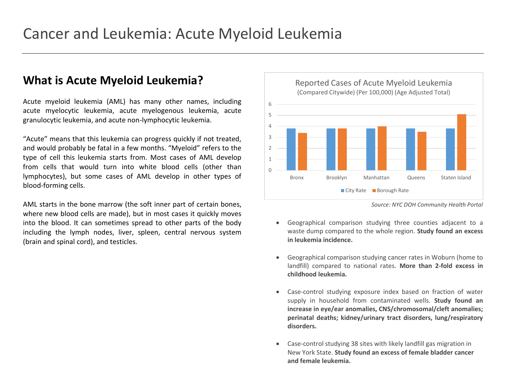#### **What is Acute Myeloid Leukemia?**

Acute myeloid leukemia (AML) has many other names, including acute myelocytic leukemia, acute myelogenous leukemia, acute granulocytic leukemia, and acute non-lymphocytic leukemia.

"Acute" means that this leukemia can progress quickly if not treated, and would probably be fatal in a few months. "Myeloid" refers to the type of cell this leukemia starts from. Most cases of AML develop from cells that would turn into white blood cells (other than lymphocytes), but some cases of AML develop in other types of blood-forming cells.

AML starts in the bone marrow (the soft inner part of certain bones, where new blood cells are made), but in most cases it quickly moves into the blood. It can sometimes spread to other parts of the body including the lymph nodes, liver, spleen, central nervous system (brain and spinal cord), and testicles.



*Source: NYC DOH Community Health Portal*

- Geographical comparison studying three counties adjacent to a waste dump compared to the whole region. **Study found an excess in leukemia incidence.**
- Geographical comparison studying cancer rates in Woburn (home to landfill) compared to national rates. **More than 2-fold excess in childhood leukemia.**
- Case-control studying exposure index based on fraction of water supply in household from contaminated wells. **Study found an increase in eye/ear anomalies, CNS/chromosomal/cleft anomalies; perinatal deaths; kidney/urinary tract disorders, lung/respiratory disorders.**
- Case-control studying 38 sites with likely landfill gas migration in New York State. **Study found an excess of female bladder cancer and female leukemia.**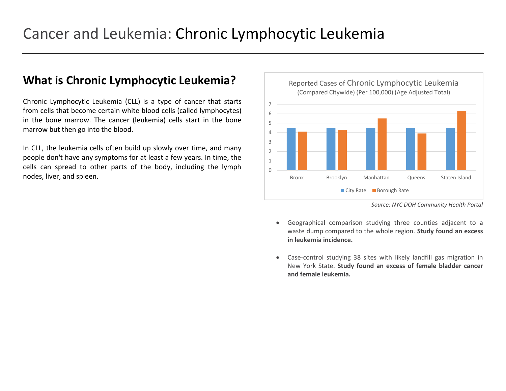#### **What is Chronic Lymphocytic Leukemia?**

Chronic Lymphocytic Leukemia (CLL) is a type of cancer that starts from cells that become certain white blood cells (called lymphocytes) in the bone marrow. The cancer (leukemia) cells start in the bone marrow but then go into the blood.

In CLL, the leukemia cells often build up slowly over time, and many people don't have any symptoms for at least a few years. In time, the cells can spread to other parts of the body, including the lymph nodes, liver, and spleen.



*Source: NYC DOH Community Health Portal*

- Geographical comparison studying three counties adjacent to a waste dump compared to the whole region. **Study found an excess in leukemia incidence.**
- Case-control studying 38 sites with likely landfill gas migration in New York State. **Study found an excess of female bladder cancer and female leukemia.**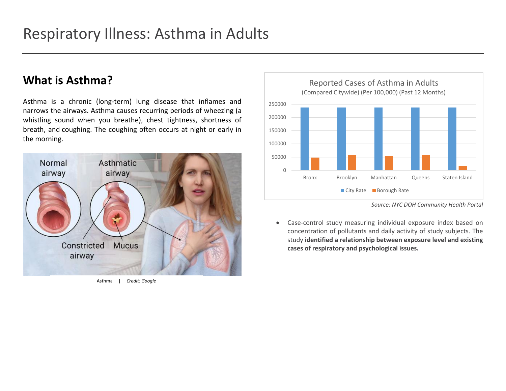#### **What is Asthma?**

Asthma is a chronic (long-term) lung disease that inflames and narrows the airways. Asthma causes recurring periods of wheezing (a whistling sound when you breathe), chest tightness, shortness of breath, and coughing. The coughing often occurs at night or early in the morning.







*Source: NYC DOH Community Health Portal*

• Case-control study measuring individual exposure index based on concentration of pollutants and daily activity of study subjects. The study **identified a relationship between exposure level and existing cases of respiratory and psychological issues.**